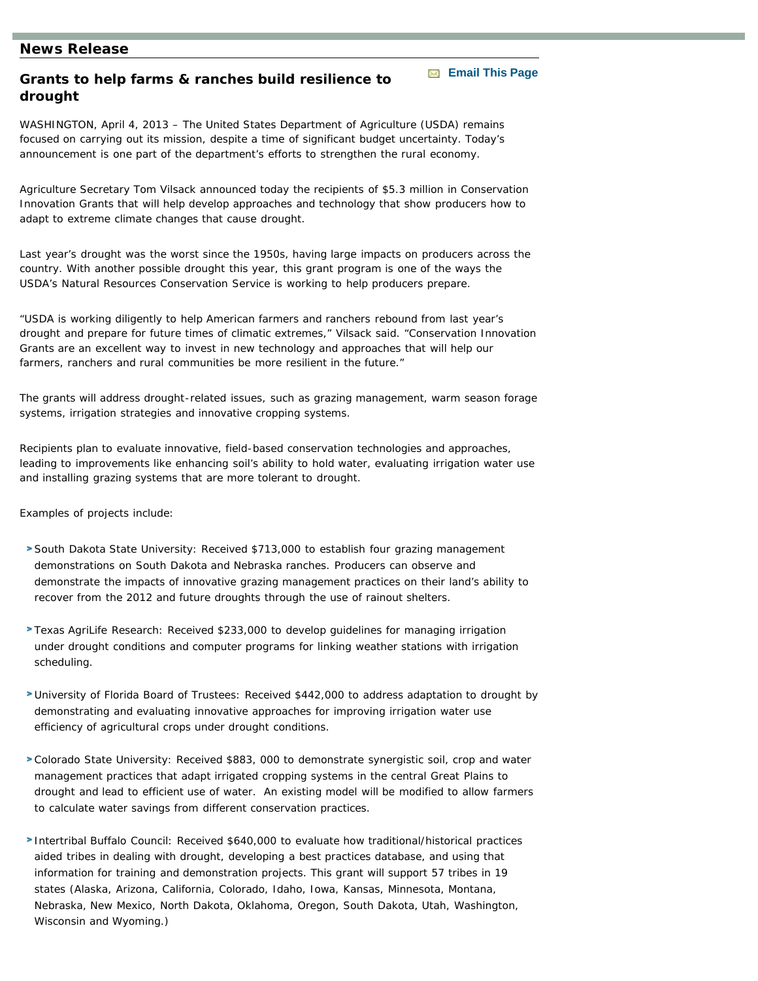## **News Release**

## **Grants to help farms & ranches build resilience to drought**

WASHINGTON, April 4, 2013 – The United States Department of Agriculture (USDA) remains focused on carrying out its mission, despite a time of significant budget uncertainty. Today's announcement is one part of the department's efforts to strengthen the rural economy.

**[Email This Page](mailto:?subject=Helpful information from the USDA Natural Resources Conservation Service&body=Grants to help farms & ranches build resilience to drought:           https://prod.nrcs.usda.gov/wps/myportal/nrcsstaging/detail/national/newsroom/releases/?cid=STELPRDB1088556)** 

Agriculture Secretary Tom Vilsack announced today the recipients of \$5.3 million in Conservation Innovation Grants that will help develop approaches and technology that show producers how to adapt to extreme climate changes that cause drought.

Last year's drought was the worst since the 1950s, having large impacts on producers across the country. With another possible drought this year, this grant program is one of the ways the USDA's Natural Resources Conservation Service is working to help producers prepare.

"USDA is working diligently to help American farmers and ranchers rebound from last year's drought and prepare for future times of climatic extremes," Vilsack said. "Conservation Innovation Grants are an excellent way to invest in new technology and approaches that will help our farmers, ranchers and rural communities be more resilient in the future."

The grants will address drought-related issues, such as grazing management, warm season forage systems, irrigation strategies and innovative cropping systems.

Recipients plan to evaluate innovative, field-based conservation technologies and approaches, leading to improvements like enhancing soil's ability to hold water, evaluating irrigation water use and installing grazing systems that are more tolerant to drought.

Examples of projects include:

- South Dakota State University: Received \$713,000 to establish four grazing management demonstrations on South Dakota and Nebraska ranches. Producers can observe and demonstrate the impacts of innovative grazing management practices on their land's ability to recover from the 2012 and future droughts through the use of rainout shelters.
- Texas AgriLife Research: Received \$233,000 to develop guidelines for managing irrigation under drought conditions and computer programs for linking weather stations with irrigation scheduling.
- University of Florida Board of Trustees: Received \$442,000 to address adaptation to drought by demonstrating and evaluating innovative approaches for improving irrigation water use efficiency of agricultural crops under drought conditions.
- Colorado State University: Received \$883, 000 to demonstrate synergistic soil, crop and water management practices that adapt irrigated cropping systems in the central Great Plains to drought and lead to efficient use of water. An existing model will be modified to allow farmers to calculate water savings from different conservation practices.
- Intertribal Buffalo Council: Received \$640,000 to evaluate how traditional/historical practices aided tribes in dealing with drought, developing a best practices database, and using that information for training and demonstration projects. This grant will support 57 tribes in 19 states (Alaska, Arizona, California, Colorado, Idaho, Iowa, Kansas, Minnesota, Montana, Nebraska, New Mexico, North Dakota, Oklahoma, Oregon, South Dakota, Utah, Washington, Wisconsin and Wyoming.)